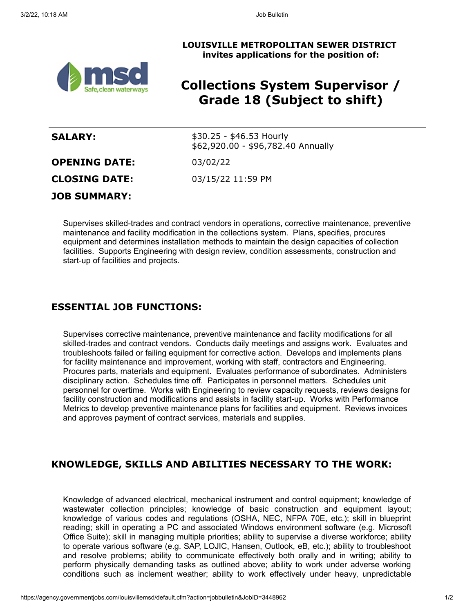



# **Collections System Supervisor / Grade 18 (Subject to shift)**

| <b>SALARY:</b>       | $$30.25 - $46.53$ Hourly<br>\$62,920.00 - \$96,782.40 Annually |
|----------------------|----------------------------------------------------------------|
| <b>OPENING DATE:</b> | 03/02/22                                                       |
| <b>CLOSING DATE:</b> | 03/15/22 11:59 PM                                              |
| <b>JOB SUMMARY:</b>  |                                                                |

Supervises skilled-trades and contract vendors in operations, corrective maintenance, preventive maintenance and facility modification in the collections system. Plans, specifies, procures equipment and determines installation methods to maintain the design capacities of collection facilities. Supports Engineering with design review, condition assessments, construction and start-up of facilities and projects.

### **ESSENTIAL JOB FUNCTIONS:**

Supervises corrective maintenance, preventive maintenance and facility modifications for all skilled-trades and contract vendors. Conducts daily meetings and assigns work. Evaluates and troubleshoots failed or failing equipment for corrective action. Develops and implements plans for facility maintenance and improvement, working with staff, contractors and Engineering. Procures parts, materials and equipment. Evaluates performance of subordinates. Administers disciplinary action. Schedules time off. Participates in personnel matters. Schedules unit personnel for overtime. Works with Engineering to review capacity requests, reviews designs for facility construction and modifications and assists in facility start-up. Works with Performance Metrics to develop preventive maintenance plans for facilities and equipment. Reviews invoices and approves payment of contract services, materials and supplies.

## **KNOWLEDGE, SKILLS AND ABILITIES NECESSARY TO THE WORK:**

Knowledge of advanced electrical, mechanical instrument and control equipment; knowledge of wastewater collection principles; knowledge of basic construction and equipment layout; knowledge of various codes and regulations (OSHA, NEC, NFPA 70E, etc.); skill in blueprint reading; skill in operating a PC and associated Windows environment software (e.g. Microsoft Office Suite); skill in managing multiple priorities; ability to supervise a diverse workforce; ability to operate various software (e.g. SAP, LOJIC, Hansen, Outlook, eB, etc.); ability to troubleshoot and resolve problems; ability to communicate effectively both orally and in writing; ability to perform physically demanding tasks as outlined above; ability to work under adverse working conditions such as inclement weather; ability to work effectively under heavy, unpredictable